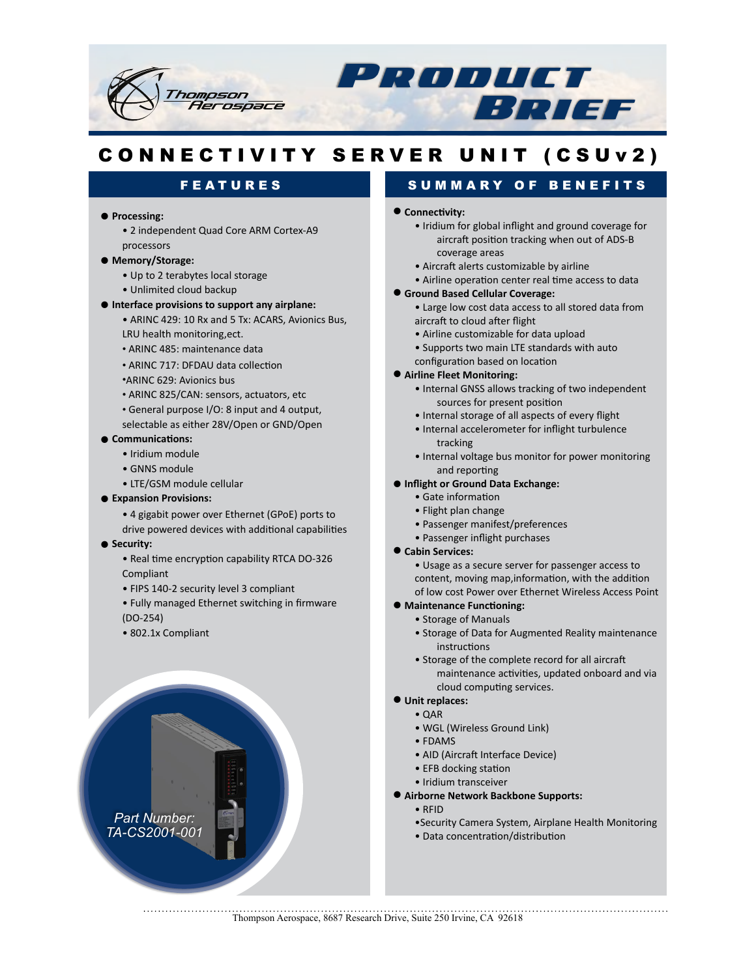

# CONNECTIVITY SERVER UNIT (CSUv2)

## FEATURES

### **•** Processing:

• 2 independent Quad Core ARM Cortex-A9 processors

#### **•!Memory/Storage:**

- Up to 2 terabytes local storage
- Unlimited cloud backup

### **• Interface provisions to support any airplane:**

- ARINC 429: 10 Rx and 5 Tx: ACARS, Avionics Bus, LRU health monitoring, ect.
- ARINC 485: maintenance data
- ARINC 717: DFDAU data collection
- ARINC 629: Avionics bus
- ARINC 825/CAN: sensors, actuators, etc
- General purpose I/O: 8 input and 4 output,
- selectable as either 28V/Open or GND/Open

### $\bullet$  Communications:

- Iridium module
- GNNS module
- LTE/GSM module cellular

### **• Expansion Provisions:**

- 4 gigabit power over Ethernet (GPoE) ports to
- drive powered devices with additional capabilities

#### **•** Security:

- Real time encryption capability RTCA DO-326 Compliant
- FIPS 140-2 security level 3 compliant
- Fully managed Ethernet switching in firmware  $(DO-254)$
- 802.1x Compliant



# SUMMARY OF BENEFITS

### $\bullet$  Connectivity:

- Iridium for global inflight and ground coverage for aircraft position tracking when out of ADS-B coverage areas
- Aircraft alerts customizable by airline
- Airline operation center real time access to data

### **• Ground Based Cellular Coverage:**

- Large low cost data access to all stored data from aircraft to cloud after flight
- Airline customizable for data upload
- Supports two main LTE standards with auto configuration based on location

### **• Airline Fleet Monitoring:**

- Internal GNSS allows tracking of two independent sources for present position
- Internal storage of all aspects of every flight
- Internal accelerometer for inflight turbulence tracking
- Internal voltage bus monitor for power monitoring and reporting
- **Inflight or Ground Data Exchange:** 
	- Gate information
	- Flight plan change
	- Passenger manifest/preferences
	- Passenger inflight purchases
- **Cabin Services:**

• Usage as a secure server for passenger access to content, moving map,information, with the addition of low cost Power over Ethernet Wireless Access Point

#### **• Maintenance Functioning:**

- Storage of Manuals
- Storage of Data for Augmented Reality maintenance instructions
- Storage of the complete record for all aircraft maintenance activities, updated onboard and via cloud computing services.
- **•!Unit!replaces:**
	- $\bullet$  QAR
	- WGL (Wireless Ground Link)
	- FDAMS
	- AID (Aircraft Interface Device)
	- EFB docking station
	- Iridium transceiver
- **Airborne Network Backbone Supports:** 
	- •"RFID
		- •Security Camera System, Airplane Health Monitoring

• Data concentration/distribution